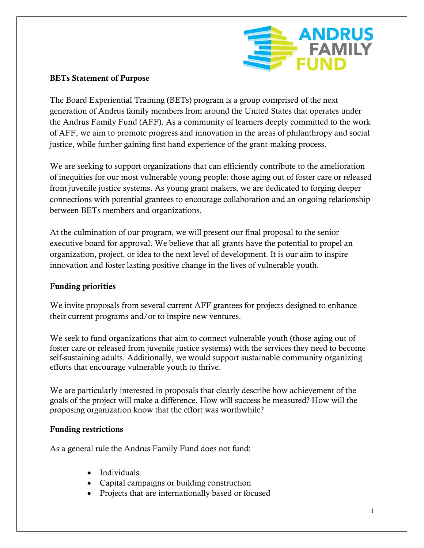

# **BETs Statement of Purpose**

The Board Experiential Training (BETs) program is a group comprised of the next generation of Andrus family members from around the United States that operates under the Andrus Family Fund (AFF). As a community of learners deeply committed to the work of AFF, we aim to promote progress and innovation in the areas of philanthropy and social justice, while further gaining first hand experience of the grant-making process.

We are seeking to support organizations that can efficiently contribute to the amelioration of inequities for our most vulnerable young people: those aging out of foster care or released from juvenile justice systems. As young grant makers, we are dedicated to forging deeper connections with potential grantees to encourage collaboration and an ongoing relationship between BETs members and organizations.

At the culmination of our program, we will present our final proposal to the senior executive board for approval. We believe that all grants have the potential to propel an organization, project, or idea to the next level of development. It is our aim to inspire innovation and foster lasting positive change in the lives of vulnerable youth.

## **Funding priorities**

We invite proposals from several current AFF grantees for projects designed to enhance their current programs and/or to inspire new ventures.

We seek to fund organizations that aim to connect vulnerable youth (those aging out of foster care or released from juvenile justice systems) with the services they need to become self-sustaining adults. Additionally, we would support sustainable community organizing efforts that encourage vulnerable youth to thrive.

We are particularly interested in proposals that clearly describe how achievement of the goals of the project will make a difference. How will success be measured? How will the proposing organization know that the effort was worthwhile?

#### **Funding restrictions**

As a general rule the Andrus Family Fund does not fund:

- Individuals
- Capital campaigns or building construction
- Projects that are internationally based or focused